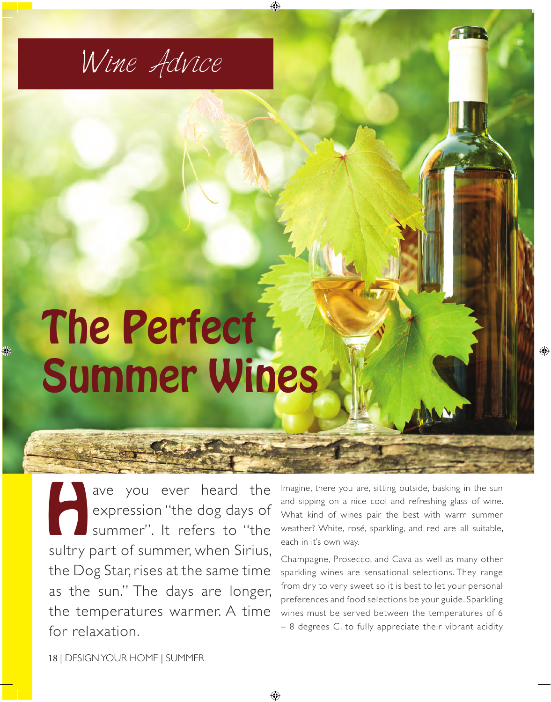

## The Perfect Summer Wines

ave you ever heard the<br>expression "the dog days of<br>summer". It refers to "the expression "the dog days of summer". It refers to "the sultry part of summer, when Sirius, the Dog Star, rises at the same time as the sun." The days are longer, the temperatures warmer. A time for relaxation.

Imagine, there you are, sitting outside, basking in the sun and sipping on a nice cool and refreshing glass of wine. What kind of wines pair the best with warm summer weather? White, rosé, sparkling, and red are all suitable, each in it's own way.

Champagne, Prosecco, and Cava as well as many other sparkling wines are sensational selections. They range from dry to very sweet so it is best to let your personal preferences and food selections be your guide. Sparkling wines must be served between the temperatures of 6 – 8 degrees C. to fully appreciate their vibrant acidity